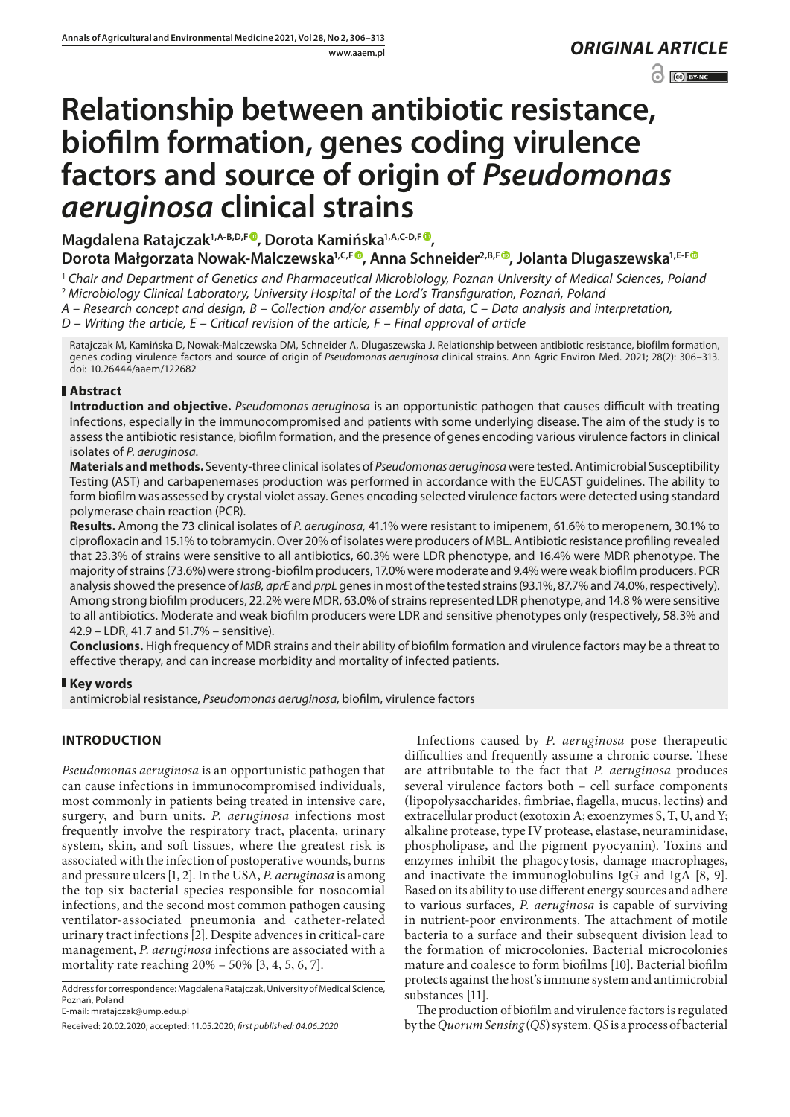www.aaem.pl *ORIGINAL [ARTICLE](https://creativecommons.org/licenses/by-nc/3.0/pl/deed.en)*   $\odot$   $\odot$  BY-NC

# **Relationship between antibiotic resistance, biofilm formation, genes coding virulence factors and source of origin of** *Pseudomonas aeruginosa* **clinical strains**

**Magdalena Ratajczak1,A-B,D,F , Dorota Kamińska1,A,C-D,F ,** 

Dorota Małgorzata Nowak-Malczewska<sup>1[,](https://orcid.org/0000-0002-3836-979X)C,[F]( https://orcid.org/0000-0002-2192-3715)®</sup>, Anna Schneider<sup>2,B,F®</sup>, Jolanta Dlugaszewska<sup>1,E-F®</sup>

<sup>1</sup> *Chair and Department of Genetics and Pharmaceutical Microbiology, Poznan University of Medical Sciences, Poland* <sup>2</sup> *Microbiology Clinical Laboratory, University Hospital of the Lord's Transfiguration, Poznań, Poland*

*A – Research concept and design, B – Collection and/or assembly of data, C – Data analysis and interpretation,* 

*D – Writing the article, E – Critical revision of the article, F – Final approval of article*

Ratajczak M, Kamińska D, Nowak-Malczewska DM, Schneider A, Dlugaszewska J. Relationship between antibiotic resistance, biofilm formation, genes coding virulence factors and source of origin of *Pseudomonas aeruginosa* clinical strains. Ann Agric Environ Med. 2021; 28(2): 306–313. doi: 10.26444/aaem/122682

## **Abstract**

**Introduction and objective.** *Pseudomonas aeruginosa* is an opportunistic pathogen that causes difficult with treating infections, especially in the immunocompromised and patients with some underlying disease. The aim of the study is to assess the antibiotic resistance, biofilm formation, and the presence of genes encoding various virulence factors in clinical isolates of *P. aeruginosa.*

**Materials and methods.** Seventy-three clinical isolates of *Pseudomonas aeruginosa* were tested. Antimicrobial Susceptibility Testing (AST) and carbapenemases production was performed in accordance with the EUCAST guidelines. The ability to form biofilm was assessed by crystal violet assay. Genes encoding selected virulence factors were detected using standard polymerase chain reaction (PCR).

**Results.** Among the 73 clinical isolates of *P. aeruginosa,* 41.1% were resistant to imipenem, 61.6% to meropenem, 30.1% to ciprofloxacin and 15.1% to tobramycin. Over 20% of isolates were producers of MBL. Antibiotic resistance profiling revealed that 23.3% of strains were sensitive to all antibiotics, 60.3% were LDR phenotype, and 16.4% were MDR phenotype. The majority of strains (73.6%) were strong-biofilm producers, 17.0% were moderate and 9.4% were weak biofilm producers. PCR analysis showed the presence of *lasB, aprE* and *prpL* genes in most of the tested strains (93.1%, 87.7% and 74.0%, respectively). Among strong biofilm producers, 22.2% were MDR, 63.0% of strains represented LDR phenotype, and 14.8 % were sensitive to all antibiotics. Moderate and weak biofilm producers were LDR and sensitive phenotypes only (respectively, 58.3% and 42.9 – LDR, 41.7 and 51.7% – sensitive).

**Conclusions.** High frequency of MDR strains and their ability of biofilm formation and virulence factors may be a threat to effective therapy, and can increase morbidity and mortality of infected patients.

## **Key words**

antimicrobial resistance, *Pseudomonas aeruginosa,* biofilm, virulence factors

# **INTRODUCTION**

*Pseudomonas aeruginosa* is an opportunistic pathogen that can cause infections in immunocompromised individuals, most commonly in patients being treated in intensive care, surgery, and burn units. *P. aeruginosa* infections most frequently involve the respiratory tract, placenta, urinary system, skin, and soft tissues, where the greatest risk is associated with the infection of postoperative wounds, burns and pressure ulcers [1, 2]. In the USA, *P. aeruginosa* is among the top six bacterial species responsible for nosocomial infections, and the second most common pathogen causing ventilator-associated pneumonia and catheter-related urinary tract infections [2]. Despite advences in critical-care management, *P. aeruginosa* infections are associated with a mortality rate reaching 20% – 50% [3, 4, 5, 6, 7].

Address for correspondence: Magdalena Ratajczak, University of Medical Science, Poznań, Poland

E-mail: mratajczak@ump.edu.pl

Received: 20.02.2020; accepted: 11.05.2020; *first published: 04.06.2020*

Infections caused by *P. aeruginosa* pose therapeutic difficulties and frequently assume a chronic course. These are attributable to the fact that *P. aeruginosa* produces several virulence factors both – cell surface components (lipopolysaccharides, fimbriae, flagella, mucus, lectins) and extracellular product (exotoxin A; exoenzymes S, T, U, and Y; alkaline protease, type IV protease, elastase, neuraminidase, phospholipase, and the pigment pyocyanin). Toxins and enzymes inhibit the phagocytosis, damage macrophages, and inactivate the immunoglobulins IgG and IgA [8, 9]. Based on its ability to use different energy sources and adhere to various surfaces, *P. aeruginosa* is capable of surviving in nutrient-poor environments. The attachment of motile bacteria to a surface and their subsequent division lead to the formation of microcolonies. Bacterial microcolonies mature and coalesce to form biofilms [10]. Bacterial biofilm protects against the host's immune system and antimicrobial substances [11].

The production of biofilm and virulence factors is regulated by the *Quorum Sensing* (*QS*) system. *QS* is a process of bacterial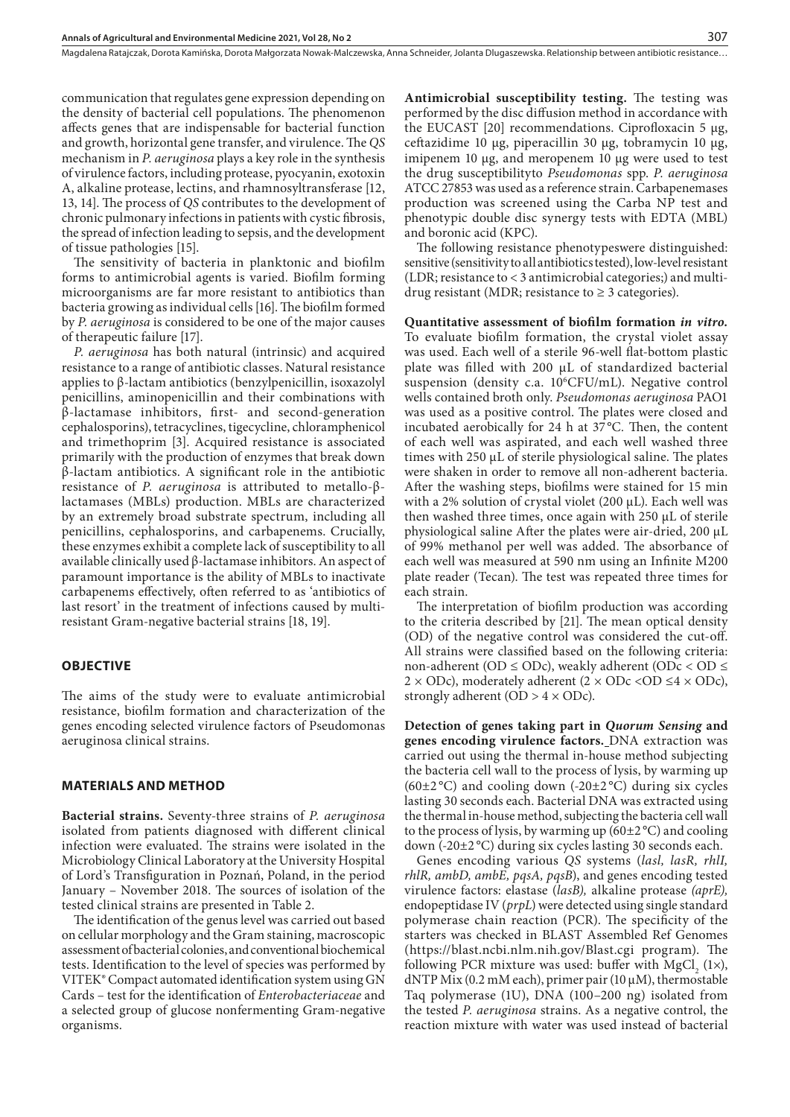communication that regulates gene expression depending on the density of bacterial cell populations. The phenomenon affects genes that are indispensable for bacterial function and growth, horizontal gene transfer, and virulence. The *QS* mechanism in *P. aeruginosa* plays a key role in the synthesis of virulence factors, including protease, pyocyanin, exotoxin A, alkaline protease, lectins, and rhamnosyltransferase [12, 13, 14]. The process of *QS* contributes to the development of chronic pulmonary infections in patients with cystic fibrosis, the spread of infection leading to sepsis, and the development of tissue pathologies [15].

The sensitivity of bacteria in planktonic and biofilm forms to antimicrobial agents is varied. Biofilm forming microorganisms are far more resistant to antibiotics than bacteria growing as individual cells [16]. The biofilm formed by *P. aeruginosa* is considered to be one of the major causes of therapeutic failure [17].

*P. aeruginosa* has both natural (intrinsic) and acquired resistance to a range of antibiotic classes. Natural resistance applies to β-lactam antibiotics (benzylpenicillin, isoxazolyl penicillins, aminopenicillin and their combinations with β-lactamase inhibitors, first- and second-generation cephalosporins), tetracyclines, tigecycline, chloramphenicol and trimethoprim [3]. Acquired resistance is associated primarily with the production of enzymes that break down β-lactam antibiotics. A significant role in the antibiotic resistance of *P. aeruginosa* is attributed to metallo-βlactamases (MBLs) production. MBLs are characterized by an extremely broad substrate spectrum, including all penicillins, cephalosporins, and carbapenems. Crucially, these enzymes exhibit a complete lack of susceptibility to all available clinically used β-lactamase inhibitors. An aspect of paramount importance is the ability of MBLs to inactivate carbapenems effectively, often referred to as 'antibiotics of last resort' in the treatment of infections caused by multiresistant Gram-negative bacterial strains [18, 19].

#### **OBJECTIVE**

The aims of the study were to evaluate antimicrobial resistance, biofilm formation and characterization of the genes encoding selected virulence factors of Pseudomonas aeruginosa clinical strains.

#### **MATERIALS AND METHOD**

**Bacterial strains.** Seventy-three strains of *P. aeruginosa* isolated from patients diagnosed with different clinical infection were evaluated. The strains were isolated in the Microbiology Clinical Laboratory at the University Hospital of Lord's Transfiguration in Poznań, Poland, in the period January – November 2018. The sources of isolation of the tested clinical strains are presented in Table 2.

The identification of the genus level was carried out based on cellular morphology and the Gram staining, macroscopic assessment of bacterial colonies, and conventional biochemical tests. Identification to the level of species was performed by VITEK® Compact automated identification system using GN Cards – test for the identification of *Enterobacteriaceae* and a selected group of glucose nonfermenting Gram-negative organisms.

**Antimicrobial susceptibility testing.** The testing was performed by the disc diffusion method in accordance with the EUCAST  $[20]$  recommendations. Ciprofloxacin 5  $\mu$ g, ceftazidime 10 μg, piperacillin 30 μg, tobramycin 10 μg, imipenem 10 µg, and meropenem 10 µg were used to test the drug susceptibilityto *Pseudomonas* spp. *P. aeruginosa* ATCC 27853 was used as a reference strain. Carbapenemases production was screened using the Carba NP test and phenotypic double disc synergy tests with EDTA (MBL) and boronic acid (KPC).

The following resistance phenotypeswere distinguished: sensitive (sensitivity to all antibiotics tested), low-level resistant (LDR; resistance to < 3 antimicrobial categories;) and multidrug resistant (MDR; resistance to  $\geq$  3 categories).

**Quantitative assessment of biofilm formation** *in vitro.* To evaluate biofilm formation, the crystal violet assay was used. Each well of a sterile 96-well flat-bottom plastic plate was filled with 200 µL of standardized bacterial suspension (density c.a. 10°CFU/mL). Negative control wells contained broth only. *Pseudomonas aeruginosa* PAO1 was used as a positive control. The plates were closed and incubated aerobically for 24 h at 37 °C*.* Then, the content of each well was aspirated, and each well washed three times with 250 µL of sterile physiological saline. The plates were shaken in order to remove all non-adherent bacteria. After the washing steps, biofilms were stained for 15 min with a 2% solution of crystal violet (200 µL). Each well was then washed three times, once again with 250 µL of sterile physiological saline After the plates were air-dried, 200 µL of 99% methanol per well was added. The absorbance of each well was measured at 590 nm using an Infinite M200 plate reader (Tecan). The test was repeated three times for each strain.

The interpretation of biofilm production was according to the criteria described by [21]. The mean optical density (OD) of the negative control was considered the cut-off. All strains were classified based on the following criteria: non-adherent (OD  $\le$  ODc), weakly adherent (ODc  $\lt$  OD  $\le$  $2 \times$  ODc), moderately adherent  $(2 \times$  ODc < OD  $\leq 4 \times$  ODc), strongly adherent (OD  $> 4 \times$  ODc).

**Detection of genes taking part in** *Quorum Sensing* **and genes encoding virulence factors.** DNA extraction was carried out using the thermal in-house method subjecting the bacteria cell wall to the process of lysis, by warming up (60 $\pm$ 2 °C) and cooling down (-20 $\pm$ 2 °C) during six cycles lasting 30 seconds each. Bacterial DNA was extracted using the thermal in-house method, subjecting the bacteria cell wall to the process of lysis, by warming up  $(60\pm2\degree C)$  and cooling down (-20±2 °C) during six cycles lasting 30 seconds each.

Genes encoding various *QS* systems (*lasl, lasR, rhlI, rhlR, ambD, ambE, pqsA, pqsB*), and genes encoding tested virulence factors: elastase (*lasB),* alkaline protease *(aprE),*  endopeptidase IV (*prpL*) were detected using single standard polymerase chain reaction (PCR). The specificity of the starters was checked in BLAST Assembled Ref Genomes (https://blast.ncbi.nlm.nih.gov/Blast.cgi program). The following PCR mixture was used: buffer with  $MgCl_2(1\times)$ , dNTP Mix (0.2 mM each), primer pair (10  $\mu$ M), thermostable Taq polymerase (1U), DNA (100–200 ng) isolated from the tested *P. aeruginosa* strains. As a negative control, the reaction mixture with water was used instead of bacterial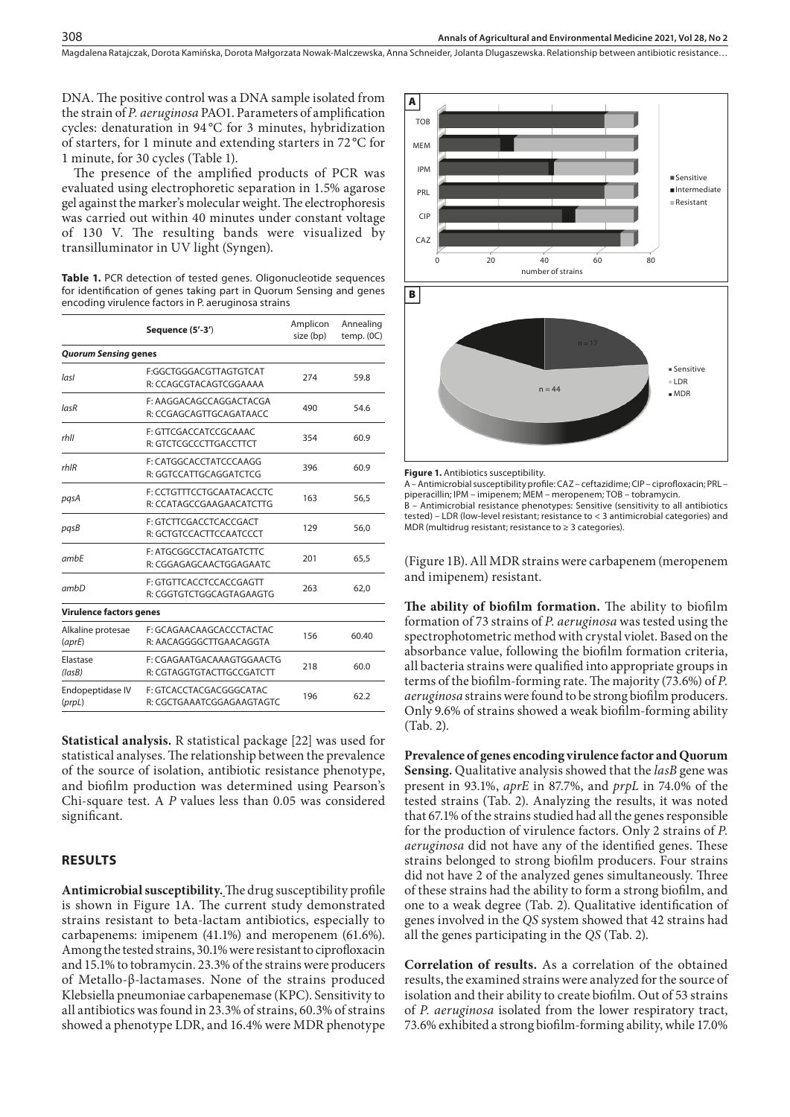DNA. The positive control was a DNA sample isolated from the strain of *P. aeruginosa* PAO1. Parameters of amplification cycles: denaturation in 94 °C for 3 minutes, hybridization of starters, for 1 minute and extending starters in 72 °C for 1 minute, for 30 cycles (Table 1).

The presence of the amplified products of PCR was evaluated using electrophoretic separation in 1.5% agarose gel against the marker's molecular weight. The electrophoresis was carried out within 40 minutes under constant voltage of 130 V. The resulting bands were visualized by transilluminator in UV light (Syngen).

**Table 1.** PCR detection of tested genes. Oligonucleotide sequences for identification of genes taking part in Quorum Sensing and genes encoding virulence factors in P. aeruginosa strains

|                                | Sequence (5'-3')                                       | Amplicon<br>size (bp) | Annealing<br>temp. (0C) |  |
|--------------------------------|--------------------------------------------------------|-----------------------|-------------------------|--|
| <b>Quorum Sensing genes</b>    |                                                        |                       |                         |  |
| lasl                           | F:GGCTGGGACGTTAGTGTCAT<br>R: CCAGCGTACAGTCGGAAAA       | 274                   | 59.8                    |  |
| lasR                           | F: AAGGACAGCCAGGACTACGA<br>R: CCGAGCAGTTGCAGATAACC     | 490                   | 54.6                    |  |
| rhll                           | F: GTTCGACCATCCGCAAAC<br>R: GTCTCGCCCTTGACCTTCT        | 354                   | 60.9                    |  |
| $r h$ IR                       | F: CATGGCACCTATCCCAAGG<br>R: GGTCCATTGCAGGATCTCG       | 396                   | 60.9                    |  |
| pasA                           | F: CCTGTTTCCTGCAATACACCTC<br>R: CCATAGCCGAAGAACATCTTG  | 163                   | 56,5                    |  |
| pqsB                           | F: GTCTTCGACCTCACCGACT<br>R: GCTGTCCACTTCCAATCCCT      | 129                   | 56,0                    |  |
| ambE                           | F: ATGCGGCCTACATGATCTTC<br>R: CGGAGAGCAACTGGAGAATC     | 201                   | 65,5                    |  |
| ambD                           | F: GTGTTCACCTCCACCGAGTT<br>R: CGGTGTCTGGCAGTAGAAGTG    | 263                   | 62,0                    |  |
| <b>Virulence factors genes</b> |                                                        |                       |                         |  |
| Alkaline protesae<br>(aprE)    | F: GCAGAACAAGCACCCTACTAC<br>R: AACAGGGGCTTGAACAGGTA    | 156                   | 60.40                   |  |
| Elastase<br>(lasB)             | F: CGAGAATGACAAAGTGGAACTG<br>R: CGTAGGTGTACTTGCCGATCTT | 218                   | 60.0                    |  |
| Endopeptidase IV<br>(prpL)     | F: GTCACCTACGACGGGCATAC<br>R: CGCTGAAATCGGAGAAGTAGTC   | 196                   | 62.2                    |  |

**Statistical analysis.** R statistical package [22] was used for statistical analyses. The relationship between the prevalence of the source of isolation, antibiotic resistance phenotype, and biofilm production was determined using Pearson's Chi-square test. A *P* values less than 0.05 was considered significant.

#### **RESULTS**

**Antimicrobial susceptibility.**The drug susceptibility profile is shown in Figure 1A. The current study demonstrated strains resistant to beta-lactam antibiotics, especially to carbapenems: imipenem (41.1%) and meropenem (61.6%). Among the tested strains, 30.1% were resistant to ciprofloxacin and 15.1% to tobramycin. 23.3% of the strains were producers of Metallo-β-lactamases. None of the strains produced Klebsiella pneumoniae carbapenemase (KPC). Sensitivity to all antibiotics was found in 23.3% of strains, 60.3% of strains showed a phenotype LDR, and 16.4% were MDR phenotype



**Figure 1.** Antibiotics susceptibility.

A – Antimicrobial susceptibility profile: CAZ – ceftazidime; CIP – ciprofloxacin; PRL – piperacillin; IPM – imipenem; MEM – meropenem; TOB – tobramycin. B – Antimicrobial resistance phenotypes: Sensitive (sensitivity to all antibiotics tested) – LDR (low-level resistant; resistance to < 3 antimicrobial categories) and MDR (multidrug resistant; resistance to ≥ 3 categories).

(Figure 1B). All MDR strains were carbapenem (meropenem and imipenem) resistant.

**The ability of biofilm formation.** The ability to biofilm formation of 73 strains of *P. aeruginosa* was tested using the spectrophotometric method with crystal violet. Based on the absorbance value, following the biofilm formation criteria, all bacteria strains were qualified into appropriate groups in terms of the biofilm-forming rate. The majority (73.6%) of *P. aeruginosa* strains were found to be strong biofilm producers. Only 9.6% of strains showed a weak biofilm-forming ability (Tab. 2).

**Prevalence of genes encoding virulence factor and Quorum Sensing.** Qualitative analysis showed that the *lasB* gene was present in 93.1%, *aprE* in 87.7%, and *prpL* in 74.0% of the tested strains (Tab. 2). Analyzing the results, it was noted that 67.1% of the strains studied had all the genes responsible for the production of virulence factors. Only 2 strains of *P. aeruginosa* did not have any of the identified genes. These strains belonged to strong biofilm producers. Four strains did not have 2 of the analyzed genes simultaneously. Three of these strains had the ability to form a strong biofilm, and one to a weak degree (Tab. 2). Qualitative identification of genes involved in the *QS* system showed that 42 strains had all the genes participating in the *QS* (Tab. 2).

**Correlation of results.** As a correlation of the obtained results, the examined strains were analyzed for the source of isolation and their ability to create biofilm. Out of 53 strains of *P. aeruginosa* isolated from the lower respiratory tract, 73.6% exhibited a strong biofilm-forming ability, while 17.0%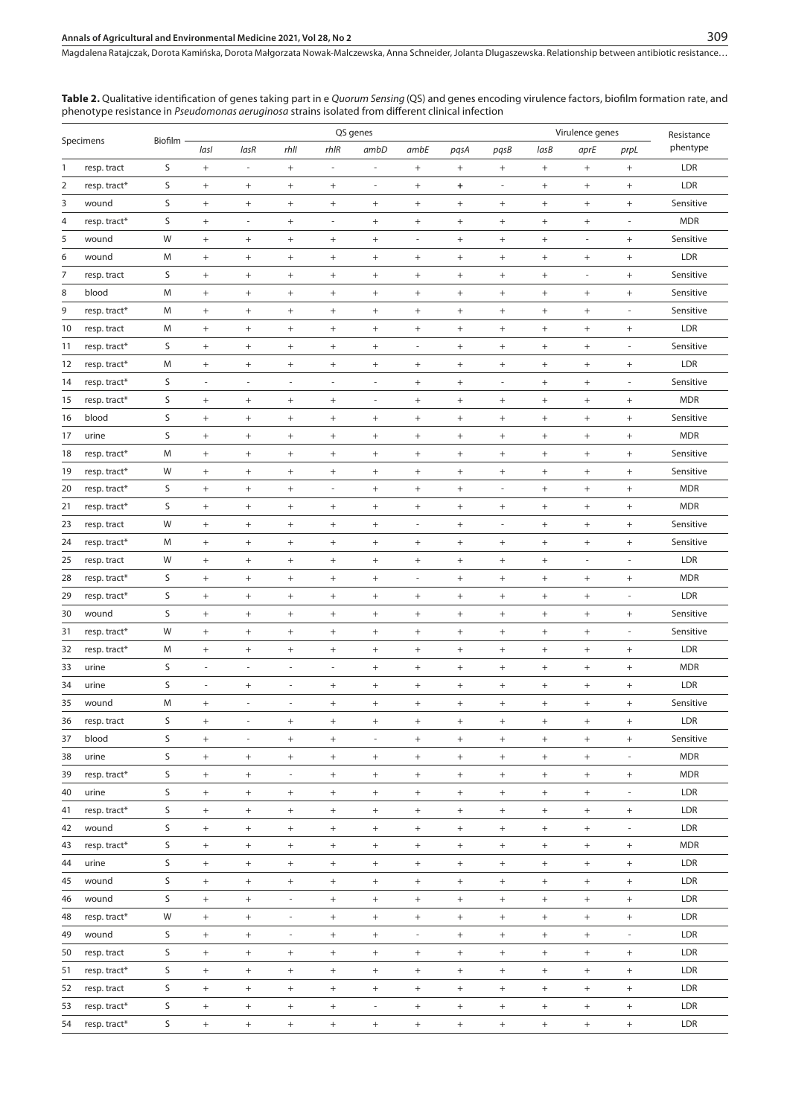**Table 2.** Qualitative identification of genes taking part in e *Quorum Sensing* (QS) and genes encoding virulence factors, biofilm formation rate, and phenotype resistance in *Pseudomonas aeruginosa* strains isolated from different clinical infection

|                |              |      | QS genes                         |                                  |                          |                                  |                                  |                                  |                                  |                                  | Virulence genes                  |                                  |                                  |            |  |
|----------------|--------------|------|----------------------------------|----------------------------------|--------------------------|----------------------------------|----------------------------------|----------------------------------|----------------------------------|----------------------------------|----------------------------------|----------------------------------|----------------------------------|------------|--|
| Specimens      | Biofilm      | lasl | lasR                             | rhll                             | rhIR                     | ambD                             | ambE                             | pqsA                             | pqsB                             | lasB                             | aprE                             | prpL                             | Resistance<br>phentype           |            |  |
| 1              | resp. tract  | S    | $\begin{array}{c} + \end{array}$ | ÷,                               | $+$                      | $\overline{\phantom{a}}$         | $\overline{\phantom{a}}$         | $\qquad \qquad +$                | $\begin{array}{c} + \end{array}$ | $^+$                             | $\! + \!\!\!\!$                  | $+$                              | $+$                              | LDR        |  |
| $\overline{2}$ | resp. tract* | S    | $\! + \!$                        | $\! + \!$                        | $\! + \!$                | $\! + \!$                        | ÷,                               | $^+$                             | $\ddot{}$                        | l,                               | $\! + \!$                        | $^{+}$                           | $\! + \!$                        | LDR        |  |
| 3              | wound        | S    | $^+$                             | $\qquad \qquad +$                | $+$                      | $^+$                             | $\begin{array}{c} + \end{array}$ | $\begin{array}{c} + \end{array}$ | $^+$                             | $^+$                             | $\begin{array}{c} + \end{array}$ | $\qquad \qquad +$                | $\qquad \qquad +$                | Sensitive  |  |
| 4              | resp. tract* | S    | $^{+}$                           | $\blacksquare$                   | $\! + \!\!\!\!$          | $\overline{\phantom{a}}$         | $\begin{array}{c} + \end{array}$ | $^+$                             | $^{+}$                           | $\begin{array}{c} + \end{array}$ | $+$                              | $+$                              | ÷,                               | <b>MDR</b> |  |
| 5              | wound        | W    | $\begin{array}{c} + \end{array}$ | $^{+}$                           |                          | $\! + \!\!\!\!$                  | $\! + \!\!\!\!$                  | ä,                               | $^{+}$                           | $\begin{array}{c} + \end{array}$ | $\! + \!\!\!\!$                  | $\overline{\phantom{a}}$         | $+$                              | Sensitive  |  |
| 6              | wound        | M    | $\begin{array}{c} + \end{array}$ | $\begin{array}{c} + \end{array}$ | $+$                      | $\begin{array}{c} + \end{array}$ | $\begin{array}{c} + \end{array}$ |                                  | $^+$                             | $\! + \!$                        | $\! + \!\!\!\!$                  | $+$                              | $\qquad \qquad +$                | LDR        |  |
| 7              | resp. tract  | S    | $^{+}$                           | $^{+}$                           | $+$                      | $^+$                             | $\begin{array}{c} + \end{array}$ | $\begin{array}{c} + \end{array}$ | $^{+}$                           | $\begin{array}{c} + \end{array}$ | $\! + \!\!\!\!$                  | ×,                               | $^{+}$                           | Sensitive  |  |
| 8              | blood        | M    |                                  | $\qquad \qquad +$                | $+$                      | $\begin{array}{c} + \end{array}$ | $\begin{array}{c} + \end{array}$ | $\qquad \qquad +$                |                                  | $^+$                             | $\! + \!\!\!\!$                  | $\qquad \qquad +$                | $\! + \!$                        | Sensitive  |  |
| 9              | resp. tract* | M    | $^+$                             | $\qquad \qquad +$                | $\! + \!\!\!\!$          | $\begin{array}{c} + \end{array}$ | $\begin{array}{c} + \end{array}$ | $\qquad \qquad +$                | $^+$                             | $^+$                             | $\! + \!\!\!\!$                  | $\qquad \qquad +$                | $\overline{\phantom{a}}$         | Sensitive  |  |
| 10             | resp. tract  | M    | $^{+}$                           | $^{+}$                           | $\! + \!$                | $\begin{array}{c} + \end{array}$ | $+$                              |                                  | $\! + \!\!\!\!$                  | $\! + \!$                        | $\begin{array}{c} + \end{array}$ | $^{+}$                           | $+$                              | LDR        |  |
| 11             | resp. tract* | S    | $\begin{array}{c} + \end{array}$ | $^{+}$                           | $+$                      | $\begin{array}{c} + \end{array}$ | $+$                              | $\overline{\phantom{a}}$         | $\begin{array}{c} + \end{array}$ | $^+$                             | $\begin{array}{c} + \end{array}$ | $^{+}$                           | $\overline{\phantom{a}}$         | Sensitive  |  |
| 12             | resp. tract* | M    | $^{+}$                           | $^{+}$                           | $\! + \!\!\!\!$          | $\! + \!\!\!\!$                  | $\begin{array}{c} + \end{array}$ | $^+$                             | $^{+}$                           | $\begin{array}{c} + \end{array}$ | $+$                              | $+$                              | $+$                              | LDR        |  |
| 14             | resp. tract* | S    | ÷,                               | ÷,                               | $\overline{\phantom{a}}$ | $\overline{\phantom{a}}$         | ä,                               | $^+$                             | $^{+}$                           | $\blacksquare$                   | $\! + \!\!\!\!$                  | $^{+}$                           | $\overline{\phantom{a}}$         | Sensitive  |  |
| 15             | resp. tract* | S    | $\! + \!\!\!\!$                  | $\qquad \qquad +$                | $\qquad \qquad +$        | $^+$                             | $\overline{\phantom{a}}$         | $\qquad \qquad +$                | $^+$                             | $^+$                             | $\! + \!\!\!\!$                  | $\qquad \qquad +$                | $\qquad \qquad +$                | <b>MDR</b> |  |
| 16             | blood        | S    | $\! + \!\!\!\!$                  | $^{+}$                           | $\! + \!\!\!\!$          | $^{+}$                           | $\begin{array}{c} + \end{array}$ | $\begin{array}{c} + \end{array}$ | $\! + \!\!\!\!$                  | $^+$                             | $\qquad \qquad +$                | $\qquad \qquad +$                | $+$                              | Sensitive  |  |
| 17             | urine        | S    | $\begin{array}{c} + \end{array}$ | $^{+}$                           | $+$                      | $\! + \!\!\!\!$                  | $\begin{array}{c} + \end{array}$ | $^+$                             | $^{+}$                           | $^+$                             | $\! + \!\!\!\!$                  | $^{+}$                           | $\qquad \qquad +$                | <b>MDR</b> |  |
| 18             | resp. tract* | M    | $\begin{array}{c} + \end{array}$ | $\begin{array}{c} + \end{array}$ | $+$                      | $\! + \!\!\!\!$                  | $\begin{array}{c} + \end{array}$ | $^+$                             | $^{+}$                           | $\begin{array}{c} + \end{array}$ | $\! + \!\!\!\!$                  | $+$                              | $\qquad \qquad +$                | Sensitive  |  |
| 19             | resp. tract* | W    | $\begin{array}{c} + \end{array}$ | $^{+}$                           | $+$                      | $^+$                             | $\ddot{}$                        | $^+$                             | $\! + \!\!\!\!$                  | $^{+}$                           | $^+$                             | $^{+}$                           | $\qquad \qquad +$                | Sensitive  |  |
| 20             | resp. tract* | S    | $^{+}$                           | $\qquad \qquad +$                | $+$                      | $\overline{\phantom{a}}$         | $^{+}$                           | $^{+}$                           | $\begin{array}{c} + \end{array}$ | $\overline{\phantom{a}}$         | $\begin{array}{c} + \end{array}$ | $\qquad \qquad +$                | $+$                              | <b>MDR</b> |  |
| 21             | resp. tract* | S    | $\begin{array}{c} + \end{array}$ | $^{+}$                           | $+$                      | $^+$                             | $\begin{array}{c} + \end{array}$ | $^+$                             | $\begin{array}{c} + \end{array}$ | $\begin{array}{c} + \end{array}$ | $^{+}$                           | $+$                              | $+$                              | <b>MDR</b> |  |
| 23             | resp. tract  | W    | $\begin{array}{c} + \end{array}$ | $^{+}$                           |                          | $\begin{array}{c} + \end{array}$ | $\! + \!\!\!\!$                  | ä,                               | $^{+}$                           | ÷,                               | $\qquad \qquad +$                | $^{+}$                           | $\qquad \qquad +$                | Sensitive  |  |
| 24             | resp. tract* | M    | $^{+}$                           | $^{+}$                           |                          | $\begin{array}{c} + \end{array}$ | $\ddot{}$                        | $\qquad \qquad +$                |                                  | $^+$                             | $^+$                             | $\qquad \qquad +$                | $\! + \!$                        | Sensitive  |  |
| 25             | resp. tract  | W    | $^{+}$                           | $^{+}$                           | $\! + \!$                | $^+$                             | $+$                              |                                  | $^{+}$                           | $^{+}$                           | $\! + \!\!\!\!$                  | $\overline{a}$                   | ÷,                               | LDR        |  |
| 28             | resp. tract* | S    | $\begin{array}{c} + \end{array}$ | $\qquad \qquad +$                | $\! + \!$                | $^+$                             | $\begin{array}{c} + \end{array}$ | ÷,                               | $^+$                             | $^+$                             | $\! + \!\!\!\!$                  | $\qquad \qquad +$                | $\qquad \qquad +$                | <b>MDR</b> |  |
| 29             | resp. tract* | S    | $\! + \!\!\!\!$                  | $\qquad \qquad +$                | $+$                      | $\begin{array}{c} + \end{array}$ | $\begin{array}{c} + \end{array}$ | $^+$                             | $^+$                             | $^+$                             | $\! + \!\!\!\!$                  | $+$                              | $\overline{\phantom{a}}$         | LDR        |  |
| 30             | wound        | S    | $\begin{array}{c} + \end{array}$ | $^{+}$                           | $+$                      | $\begin{array}{c} + \end{array}$ | $\begin{array}{c} + \end{array}$ | $^+$                             | $\! + \!\!\!\!$                  | $^+$                             | $\! + \!\!\!\!$                  | $^{+}$                           | $\qquad \qquad +$                | Sensitive  |  |
| 31             | resp. tract* | W    | $\begin{array}{c} + \end{array}$ | $^{+}$                           | $+$                      | $\begin{array}{c} + \end{array}$ | $\begin{array}{c} + \end{array}$ | $^+$                             | $\begin{array}{c} + \end{array}$ | $\! + \!$                        | $\! + \!\!\!\!$                  | $^{+}$                           | $\overline{\phantom{a}}$         | Sensitive  |  |
| 32             | resp. tract* | M    | $\begin{array}{c} + \end{array}$ | $^{+}$                           | $+$                      | $^+$                             | $\begin{array}{c} + \end{array}$ | $^+$                             | $^{+}$                           | $\begin{array}{c} + \end{array}$ | $\qquad \qquad +$                | $^{+}$                           | $+$                              | LDR        |  |
| 33             | urine        | S    | $\overline{\phantom{a}}$         | $\overline{\phantom{a}}$         | ×                        | $\overline{\phantom{a}}$         | $\begin{array}{c} + \end{array}$ | $^+$                             | $\! + \!\!\!\!$                  | $^+$                             | $\! + \!\!\!\!$                  | $\qquad \qquad +$                | $\qquad \qquad +$                | <b>MDR</b> |  |
| 34             | urine        | S    | $\overline{\phantom{a}}$         | $^{+}$                           | $\overline{\phantom{a}}$ | $\begin{array}{c} + \end{array}$ | $\begin{array}{c} + \end{array}$ | $\begin{array}{c} + \end{array}$ | $^+$                             | $^+$                             | $\! + \!\!\!\!$                  | $+$                              | $+$                              | LDR        |  |
| 35             | wound        | M    | $^{+}$                           | $\overline{\phantom{a}}$         | $\overline{\phantom{a}}$ | $\begin{array}{c} + \end{array}$ | $\begin{array}{c} + \end{array}$ | $\begin{array}{c} + \end{array}$ | $^{+}$                           | $^+$                             | $\! + \!\!\!\!$                  | $^{+}$                           | $+$                              | Sensitive  |  |
| 36             | resp. tract  | S    | $^{+}$                           | $\overline{\phantom{a}}$         | $\! + \!\!\!\!$          | $\begin{array}{c} + \end{array}$ | $\! + \!\!\!\!$                  | $\! + \!\!\!\!$                  | $\! + \!\!\!\!$                  | $\begin{array}{c} + \end{array}$ | $^{+}$                           | $^{+}$                           | $^{+}$                           | LDR        |  |
| 37             | blood        | S    | $^+$                             | $\overline{\phantom{a}}$         |                          | $\! + \!\!\!\!$                  | $\overline{\phantom{a}}$         | $^+$                             | $\! + \!\!\!\!$                  | $\begin{array}{c} + \end{array}$ | $\begin{array}{c} + \end{array}$ | $\begin{array}{c} + \end{array}$ | $+$                              | Sensitive  |  |
| 38             | urine        | S    | $+$                              | $\qquad \qquad +$                | $^+$                     | $\,$ + $\,$                      | $\begin{array}{c} + \end{array}$ | $^+$                             | $\qquad \qquad +$                | $^+$                             | $\! + \!\!\!\!$                  | $^{+}$                           | ÷,                               | <b>MDR</b> |  |
| 39             | resp. tract* | S    | $\! + \!\!\!\!$                  | $\qquad \qquad +$                | $\overline{\phantom{a}}$ | $\begin{array}{c} + \end{array}$ | $\begin{array}{c} + \end{array}$ | $\! + \!\!\!\!$                  | $^+$                             | $^+$                             | $\! + \!\!\!\!$                  | $\begin{array}{c} + \end{array}$ | $\begin{array}{c} + \end{array}$ | <b>MDR</b> |  |
| 40             | urine        | S    | $\begin{array}{c} + \end{array}$ | $^{+}$                           | $^{+}$                   | $\begin{array}{c} + \end{array}$ | $\begin{array}{c} + \end{array}$ | $\begin{array}{c} + \end{array}$ | $\begin{array}{c} + \end{array}$ | $\begin{array}{c} + \end{array}$ | $\begin{array}{c} + \end{array}$ | $^{+}$                           | $\overline{\phantom{a}}$         | LDR        |  |
| 41             | resp. tract* | S    | $^{+}$                           | $\qquad \qquad +$                | $+$                      | $^+$                             | $\begin{array}{c} + \end{array}$ | $\begin{array}{c} + \end{array}$ | $\begin{array}{c} + \end{array}$ | $^+$                             | $\! + \!\!\!\!$                  | $^{+}$                           | $\qquad \qquad +$                | LDR        |  |
| 42             | wound        | S    | $^{+}$                           | $\qquad \qquad +$                | $+$                      | $^+$                             | $\begin{array}{c} + \end{array}$ | $\begin{array}{c} + \end{array}$ | $^+$                             | $^+$                             | $\! + \!\!\!\!$                  | $+$                              | $\overline{\phantom{a}}$         | LDR        |  |
| 43             | resp. tract* | S    | $\begin{array}{c} + \end{array}$ | $\! + \!$                        | $^+$                     | $\, +$                           | $^+$                             | $\qquad \qquad +$                | $\! + \!$                        | $\! + \!$                        | $\! + \!\!\!\!$                  | $\! + \!$                        | $\qquad \qquad +$                | <b>MDR</b> |  |
| 44             | urine        | S    | $\! + \!\!\!\!$                  | $\qquad \qquad +$                | $\qquad \qquad +$        | $\begin{array}{c} + \end{array}$ | $\begin{array}{c} + \end{array}$ | $\! + \!\!\!\!$                  | $^+$                             | $^+$                             | $\begin{array}{c} + \end{array}$ | $^{+}$                           | $\begin{array}{c} + \end{array}$ | LDR        |  |
| 45             | wound        | S    | $^{+}$                           | $\qquad \qquad +$                | $\qquad \qquad +$        | $^+$                             | $\begin{array}{c} + \end{array}$ | $\qquad \qquad +$                | $^+$                             | $^+$                             | $\! + \!\!\!\!$                  | $\qquad \qquad +$                | $\qquad \qquad +$                | LDR        |  |
| 46             | wound        | S    | $+$                              | $\qquad \qquad +$                | ÷,                       | $^+$                             | $\begin{array}{c} + \end{array}$ | $\qquad \qquad +$                | $\! + \!\!\!\!$                  | $^+$                             | $\! + \!\!\!\!$                  | $^{+}$                           | $\qquad \qquad +$                | LDR        |  |
| 48             | resp. tract* | W    | $\! + \!\!\!\!$                  | $\qquad \qquad +$                | $\overline{\phantom{a}}$ | $\begin{array}{c} + \end{array}$ | $+$                              | $\begin{array}{c} + \end{array}$ | $^+$                             | $\! + \!$                        | $\! + \!\!\!\!$                  | $\! + \!$                        | $\qquad \qquad +$                | LDR        |  |
| 49             | wound        | S    | $^+$                             | $^{+}$                           | $\overline{\phantom{a}}$ | $\begin{array}{c} + \end{array}$ | $^{+}$                           | $\overline{\phantom{a}}$         | $\begin{array}{c} + \end{array}$ | $^+$                             | $\begin{array}{c} + \end{array}$ | $^{+}$                           | $\overline{\phantom{a}}$         | LDR        |  |
| 50             | resp. tract  | S    | $^{+}$                           | $\qquad \qquad +$                | $\qquad \qquad +$        | $^+$                             | $\begin{array}{c} + \end{array}$ | $\qquad \qquad +$                | $\! + \!\!\!\!$                  | $^+$                             | $\! + \!\!\!\!$                  | $\qquad \qquad +$                | $\qquad \qquad +$                | LDR        |  |
| 51             | resp. tract* | S    | $+$                              | $^{+}$                           | $\qquad \qquad +$        | $^+$                             | $\begin{array}{c} + \end{array}$ | $\qquad \qquad +$                | $^+$                             | $^+$                             | $\begin{array}{c} + \end{array}$ | $\qquad \qquad +$                | $\begin{array}{c} + \end{array}$ | LDR        |  |
| 52             | resp. tract  | S    | $^+$                             | $\qquad \qquad +$                | $\qquad \qquad +$        | $^+$                             | $\begin{array}{c} + \end{array}$ | $\qquad \qquad +$                | $\! + \!\!\!\!$                  | $^+$                             | $\! + \!\!\!\!$                  | $\qquad \qquad +$                | $\qquad \qquad +$                | LDR        |  |
| 53             | resp. tract* | S    | $+$                              | $\qquad \qquad +$                | $^{+}$                   | $^+$                             | $\overline{\phantom{a}}$         | $\! + \!\!\!\!$                  | $^{+}$                           | $\begin{array}{c} + \end{array}$ | $^{+}$                           | $^{+}$                           | $^{+}$                           | LDR        |  |
| 54             | resp. tract* | S    | $+$                              | $\qquad \qquad +$                | $\qquad \qquad +$        | $\, +$                           | $+$                              | $^+$                             |                                  | $^+$                             | $+$                              | $\qquad \qquad +$                | $\begin{array}{c} + \end{array}$ | LDR        |  |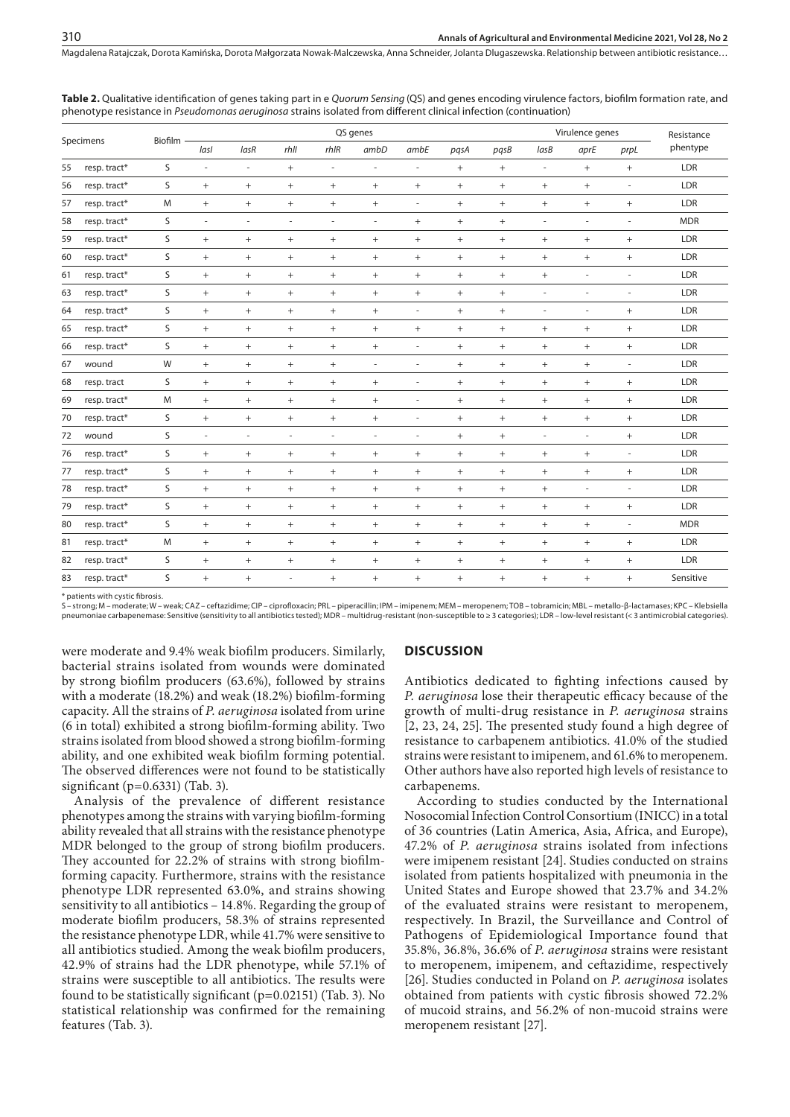| Specimens |              | Biofilm | QS genes                         |        |        |                                  |                          |                          |             |                                  |                          | Virulence genes          | Resistance                       |            |
|-----------|--------------|---------|----------------------------------|--------|--------|----------------------------------|--------------------------|--------------------------|-------------|----------------------------------|--------------------------|--------------------------|----------------------------------|------------|
|           |              |         | lasl                             | lasR   | rhll   | $r h$ IR                         | ambD                     | ambE                     | pqsA        | pasB                             | lasB                     | aprE                     | prpL                             | phentype   |
| 55        | resp. tract* | S       | $\bar{\phantom{a}}$              | ä,     | $^{+}$ | ä,                               | ä,                       | $\sim$                   | $+$         | $\qquad \qquad +$                | $\overline{\phantom{a}}$ | $+$                      | $+$                              | LDR        |
| 56        | resp. tract* | S       | $^{+}$                           | $^{+}$ | $^{+}$ | $+$                              | $+$                      | $+$                      | $+$         | $^{+}$                           | $^{+}$                   | $+$                      | $\overline{\phantom{a}}$         | LDR        |
| 57        | resp. tract* | M       | $^+$                             | $^{+}$ | $^{+}$ | $+$                              | $+$                      | $\overline{\phantom{a}}$ | $^{+}$      | $^{+}$                           | $+$                      | $+$                      | $+$                              | LDR        |
| 58        | resp. tract* | S       | $\overline{\phantom{a}}$         | $\sim$ | ×.     | $\overline{\phantom{a}}$         | $\overline{\phantom{a}}$ | $+$                      | $+$         | $^{+}$                           | $\overline{\phantom{a}}$ | $\overline{\phantom{a}}$ | $\sim$                           | <b>MDR</b> |
| 59        | resp. tract* | S       | $\begin{array}{c} + \end{array}$ | $^{+}$ | $^{+}$ | $\begin{array}{c} + \end{array}$ | $+$                      | $+$                      | $+$         | $^{+}$                           | $+$                      | $+$                      | $+$                              | LDR        |
| 60        | resp. tract* | S       | $+$                              | $^{+}$ | $^{+}$ | $+$                              | $+$                      | $+$                      | $+$         | $^{+}$                           | $^{+}$                   | $+$                      | $+$                              | LDR        |
| 61        | resp. tract* | S       | $+$                              | $^{+}$ | $^{+}$ | $+$                              | $+$                      | $^{+}$                   | $+$         | $^{+}$                           | $^{+}$                   | $\overline{\phantom{m}}$ | ٠                                | LDR        |
| 63        | resp. tract* | S       | $^{+}$                           | $^{+}$ | $^{+}$ | $+$                              | $+$                      | $+$                      | $+$         | $^{+}$                           | $\sim$                   | ä,                       | $\sim$                           | LDR        |
| 64        | resp. tract* | S       | $^{+}$                           | $^{+}$ | $^{+}$ | $\qquad \qquad +$                | $+$                      | $\overline{\phantom{a}}$ | $+$         | $^{+}$                           | $\sim$                   | ä,                       | $+$                              | LDR        |
| 65        | resp. tract* | S       | $^{+}$                           | $^{+}$ | $^{+}$ | $+$                              | $+$                      | $+$                      | $+$         | $^{+}$                           | $\! + \!\!\!\!$          | $+$                      | $+$                              | LDR        |
| 66        | resp. tract* | S       | $+$                              | $^{+}$ | $^{+}$ | $+$                              | $+$                      | $\overline{\phantom{a}}$ | $+$         | $^{+}$                           | $^{+}$                   | $+$                      | $+$                              | LDR        |
| 67        | wound        | W       | $^{+}$                           | $^{+}$ | $^{+}$ | $+$                              | $\overline{\phantom{a}}$ | $\overline{\phantom{a}}$ | $+$         | $^{+}$                           | $^{+}$                   | $+$                      | ä,                               | LDR        |
| 68        | resp. tract  | S       | $+$                              | $^{+}$ | $^{+}$ | $^{+}$                           | $+$                      | $\sim$                   | $+$         | $\begin{array}{c} + \end{array}$ | $^{+}$                   | $+$                      | $+$                              | LDR        |
| 69        | resp. tract* | M       | $+$                              | $^{+}$ | $^{+}$ | $+$                              | $+$                      | $\overline{a}$           | $+$         | $^{+}$                           | $+$                      | $+$                      | $+$                              | LDR        |
| 70        | resp. tract* | S       | $^{+}$                           | $^{+}$ | $^{+}$ | $+$                              | $+$                      | $\overline{\phantom{a}}$ | $+$         | $^{+}$                           | $^{+}$                   | $+$                      | $+$                              | LDR        |
| 72        | wound        | S       | $\overline{\phantom{a}}$         | $\sim$ | $\sim$ | $\overline{\phantom{a}}$         | $\sim$                   | $\sim$                   | $+$         | $^{+}$                           | $\overline{a}$           | ä,                       | $+$                              | LDR        |
| 76        | resp. tract* | S       | $^{+}$                           | $^{+}$ | $^{+}$ | $+$                              | $+$                      | $^{+}$                   | $+$         | $^{+}$                           | $\! + \!\!\!\!$          | $\qquad \qquad +$        | $\sim$                           | LDR        |
| 77        | resp. tract* | S       | $^{+}$                           | $^{+}$ | $^{+}$ | $+$                              | $+$                      | $+$                      | $+$         | $^{+}$                           | $\! + \!\!\!\!$          | $+$                      | $+$                              | LDR        |
| 78        | resp. tract* | S       | $+$                              | $^{+}$ | $^{+}$ | $+$                              | $+$                      | $^{+}$                   | $+$         | $^{+}$                           | $+$                      | $\overline{\phantom{a}}$ | $\sim$                           | LDR        |
| 79        | resp. tract* | S       | $+$                              | $^{+}$ | $^{+}$ | $+$                              | $+$                      | $+$                      | $+$         | $^{+}$                           | $+$                      | $+$                      | $+$                              | LDR        |
| 80        | resp. tract* | S       | $+$                              | $^{+}$ | $^{+}$ | $^{+}$                           | $+$                      | $+$                      | $\,$ + $\,$ | $\! + \!\!\!\!$                  | $+$                      | $+$                      | $\overline{\phantom{m}}$         | <b>MDR</b> |
| 81        | resp. tract* | M       | $+$                              | $^{+}$ | $^{+}$ | $\begin{array}{c} + \end{array}$ | $+$                      | $+$                      | $^{+}$      | $\! + \!\!\!\!$                  | $+$                      | $+$                      | $\begin{array}{c} + \end{array}$ | LDR        |
| 82        | resp. tract* | S       | $+$                              | $^{+}$ | $^{+}$ | $\begin{array}{c} + \end{array}$ | $+$                      | $^{+}$                   | $^{+}$      | $\! + \!\!\!\!$                  | $+$                      | $^{+}$                   | $\begin{array}{c} + \end{array}$ | LDR        |
| 83        | resp. tract* | S       | $+$                              | $^{+}$ |        | $+$                              | $^{+}$                   | $+$                      | $^{+}$      | $^{+}$                           | $^{+}$                   | $+$                      | $+$                              | Sensitive  |

**Table 2.** Qualitative identification of genes taking part in e *Quorum Sensing* (QS) and genes encoding virulence factors, biofilm formation rate, and phenotype resistance in *Pseudomonas aeruginosa* strains isolated from different clinical infection (continuation)

natients with cystic fibrosis.

S – strong; M – moderate; W – weak; CAZ – ceftazidime; CIP – ciprofloxacin; PRL – piperacillin; IPM – imipenem; MEM – meropenem; TOB – tobramicin; MBL – metallo-β-lactamases; KPC – Klebsiella<br>pneumoniae carbapenemase: Sen

were moderate and 9.4% weak biofilm producers. Similarly, bacterial strains isolated from wounds were dominated by strong biofilm producers (63.6%), followed by strains with a moderate (18.2%) and weak (18.2%) biofilm-forming capacity. All the strains of *P. aeruginosa* isolated from urine (6 in total) exhibited a strong biofilm-forming ability. Two strains isolated from blood showed a strong biofilm-forming ability, and one exhibited weak biofilm forming potential. The observed differences were not found to be statistically significant (p=0.6331) (Tab. 3).

Analysis of the prevalence of different resistance phenotypes among the strains with varying biofilm-forming ability revealed that all strains with the resistance phenotype MDR belonged to the group of strong biofilm producers. They accounted for 22.2% of strains with strong biofilmforming capacity. Furthermore, strains with the resistance phenotype LDR represented 63.0%, and strains showing sensitivity to all antibiotics – 14.8%. Regarding the group of moderate biofilm producers, 58.3% of strains represented the resistance phenotype LDR, while 41.7% were sensitive to all antibiotics studied. Among the weak biofilm producers, 42.9% of strains had the LDR phenotype, while 57.1% of strains were susceptible to all antibiotics. The results were found to be statistically significant (p=0.02151) (Tab. 3). No statistical relationship was confirmed for the remaining features (Tab. 3).

#### **DISCUSSION**

Antibiotics dedicated to fighting infections caused by *P. aeruginosa* lose their therapeutic efficacy because of the growth of multi-drug resistance in *P. aeruginosa* strains [2, 23, 24, 25]. The presented study found a high degree of resistance to carbapenem antibiotics. 41.0% of the studied strains were resistant to imipenem, and 61.6% to meropenem. Other authors have also reported high levels of resistance to carbapenems.

According to studies conducted by the International Nosocomial Infection Control Consortium (INICC) in a total of 36 countries (Latin America, Asia, Africa, and Europe), 47.2% of *P. aeruginosa* strains isolated from infections were imipenem resistant [24]. Studies conducted on strains isolated from patients hospitalized with pneumonia in the United States and Europe showed that 23.7% and 34.2% of the evaluated strains were resistant to meropenem, respectively. In Brazil, the Surveillance and Control of Pathogens of Epidemiological Importance found that 35.8%, 36.8%, 36.6% of *P. aeruginosa* strains were resistant to meropenem, imipenem, and ceftazidime, respectively [26]. Studies conducted in Poland on *P. aeruginosa* isolates obtained from patients with cystic fibrosis showed 72.2% of mucoid strains, and 56.2% of non-mucoid strains were meropenem resistant [27].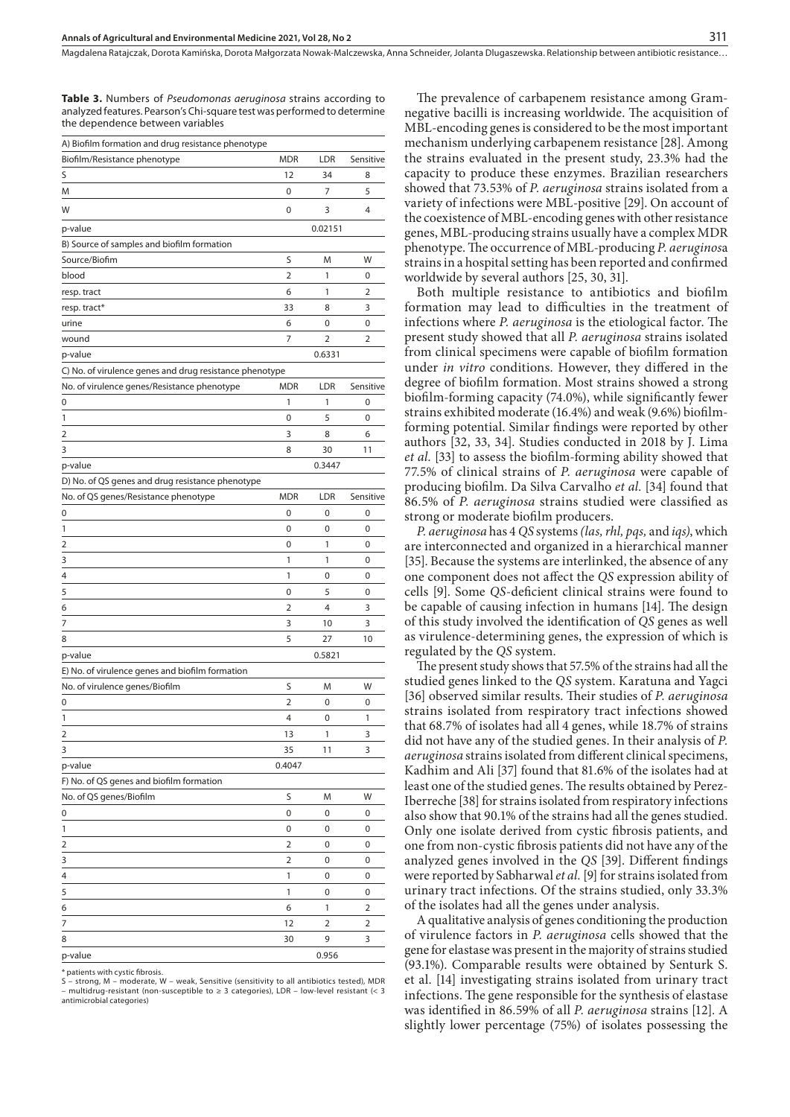**Table 3.** Numbers of *Pseudomonas aeruginosa* strains according to analyzed features. Pearson's Chi-square test was performed to determine the dependence between variables

| A) Biofilm formation and drug resistance phenotype      |            |                |           |
|---------------------------------------------------------|------------|----------------|-----------|
| Biofilm/Resistance phenotype                            | <b>MDR</b> | LDR            | Sensitive |
| S                                                       | 12         | 34             | 8         |
| M                                                       | 0          | 7              | 5         |
| W                                                       | 0          | 3              | 4         |
| p-value                                                 |            | 0.02151        |           |
| B) Source of samples and biofilm formation              |            |                |           |
| Source/Biofim                                           | S          | M              | W         |
| blood                                                   | 2          | 1              | 0         |
| resp. tract                                             | 6          | 1              | 2         |
| resp. tract*                                            | 33         | 8              | 3         |
| urine                                                   | 6          | 0              | 0         |
| wound                                                   | 7          | 2              | 2         |
| p-value                                                 |            | 0.6331         |           |
| C) No. of virulence genes and drug resistance phenotype |            |                |           |
| No. of virulence genes/Resistance phenotype             | <b>MDR</b> | LDR            | Sensitive |
| 0                                                       | 1          | 1              | 0         |
| 1                                                       | 0          | 5              | 0         |
| 2                                                       | 3          | 8              | 6         |
| 3                                                       | 8          | 30             | 11        |
| p-value                                                 |            | 0.3447         |           |
| D) No. of QS genes and drug resistance phenotype        |            |                |           |
| No. of QS genes/Resistance phenotype                    | <b>MDR</b> | LDR            | Sensitive |
| 0                                                       | 0          | 0              | 0         |
| 1                                                       | 0          | 0              | 0         |
| 2                                                       | 0          | 1              | 0         |
| 3                                                       | 1          | 1              | 0         |
| 4                                                       |            | 0              | 0         |
|                                                         | 1          |                |           |
| 5                                                       | 0          | 5              | 0         |
| 6                                                       | 2          | 4              | 3         |
| 7                                                       | 3          | 10             | 3         |
| 8                                                       | 5          | 27             | 10        |
| p-value                                                 |            | 0.5821         |           |
| E) No. of virulence genes and biofilm formation         |            |                |           |
| No. of virulence genes/Biofilm                          | S          | M              | W         |
| 0                                                       | 2          | 0              | 0         |
| 1                                                       | 4          | 0              | 1         |
| 2                                                       | 13         | 1              | 3         |
| 3                                                       | 35         | 11             | 3         |
| p-value                                                 | 0.4047     |                |           |
| F) No. of QS genes and biofilm formation                |            |                |           |
| No. of QS genes/Biofilm                                 | S          | M              | W         |
| 0                                                       | 0          | 0              | 0         |
| 1                                                       | 0          | 0              | 0         |
| 2                                                       | 2          | 0              | 0         |
| 3                                                       | 2          | 0              | 0         |
| 4                                                       | 1          | 0              | 0         |
| 5                                                       | 1          | 0              | 0         |
| 6                                                       | 6          | 1              | 2         |
| 7                                                       | 12         | $\overline{2}$ | 2         |
| 8                                                       | 30         | 9              | 3         |
| p-value                                                 |            | 0.956          |           |

\* patients with cystic fibrosis.

S – strong, M – moderate, W – weak, Sensitive (sensitivity to all antibiotics tested), MDR – multidrug-resistant (non-susceptible to ≥ 3 categories), LDR – low-level resistant (< 3 antimicrobial categories)

The prevalence of carbapenem resistance among Gramnegative bacilli is increasing worldwide. The acquisition of MBL-encoding genes is considered to be the most important mechanism underlying carbapenem resistance [28]. Among the strains evaluated in the present study, 23.3% had the capacity to produce these enzymes. Brazilian researchers showed that 73.53% of *P. aeruginosa* strains isolated from a variety of infections were MBL-positive [29]. On account of the coexistence of MBL-encoding genes with other resistance genes, MBL-producing strains usually have a complex MDR phenotype. The occurrence of MBL-producing *P. aeruginos*a strains in a hospital setting has been reported and confirmed worldwide by several authors [25, 30, 31].

Both multiple resistance to antibiotics and biofilm formation may lead to difficulties in the treatment of infections where *P. aeruginosa* is the etiological factor. The present study showed that all *P. aeruginosa* strains isolated from clinical specimens were capable of biofilm formation under *in vitro* conditions. However, they differed in the degree of biofilm formation. Most strains showed a strong biofilm-forming capacity (74.0%), while significantly fewer strains exhibited moderate (16.4%) and weak (9.6%) biofilmforming potential. Similar findings were reported by other authors [32, 33, 34]. Studies conducted in 2018 by J. Lima *et al.* [33] to assess the biofilm-forming ability showed that 77.5% of clinical strains of *P. aeruginosa* were capable of producing biofilm. Da Silva Carvalho *et al.* [34] found that 86.5% of *P. aeruginosa* strains studied were classified as strong or moderate biofilm producers.

*P. aeruginosa* has 4 *QS* systems *(las, rhl, pqs,* and *iqs)*, which are interconnected and organized in a hierarchical manner [35]. Because the systems are interlinked, the absence of any one component does not affect the *QS* expression ability of cells [9]. Some *QS*-deficient clinical strains were found to be capable of causing infection in humans [14]. The design of this study involved the identification of *QS* genes as well as virulence-determining genes, the expression of which is regulated by the *QS* system.

The present study shows that 57.5% of the strains had all the studied genes linked to the *QS* system. Karatuna and Yagci [36] observed similar results. Their studies of *P. aeruginosa* strains isolated from respiratory tract infections showed that 68.7% of isolates had all 4 genes, while 18.7% of strains did not have any of the studied genes. In their analysis of *P. aeruginosa* strains isolated from different clinical specimens, Kadhim and Ali [37] found that 81.6% of the isolates had at least one of the studied genes. The results obtained by Perez-Iberreche [38] for strains isolated from respiratory infections also show that 90.1% of the strains had all the genes studied. Only one isolate derived from cystic fibrosis patients, and one from non-cystic fibrosis patients did not have any of the analyzed genes involved in the *QS* [39]. Different findings were reported by Sabharwal *et al.* [9] for strains isolated from urinary tract infections. Of the strains studied, only 33.3% of the isolates had all the genes under analysis.

A qualitative analysis of genes conditioning the production of virulence factors in *P. aeruginosa* cells showed that the gene for elastase was present in the majority of strains studied (93.1%). Comparable results were obtained by Senturk S. et al. [14] investigating strains isolated from urinary tract infections. The gene responsible for the synthesis of elastase was identified in 86.59% of all *P. aeruginosa* strains [12]. A slightly lower percentage (75%) of isolates possessing the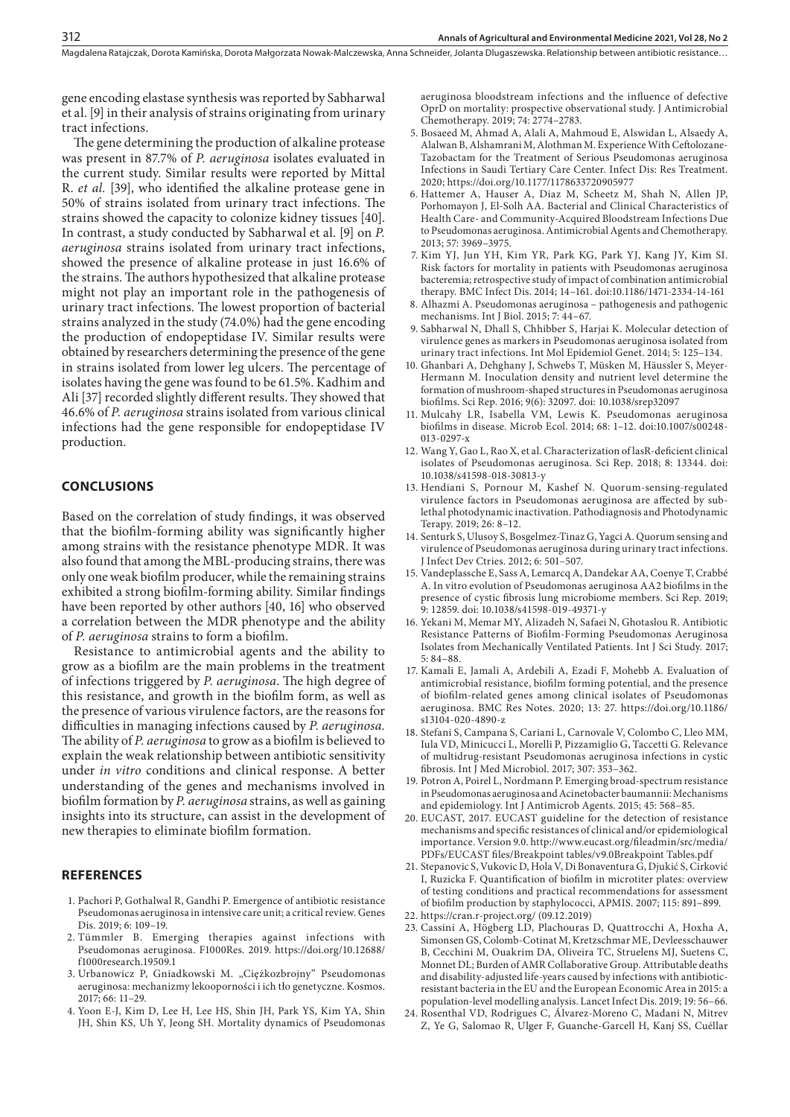gene encoding elastase synthesis was reported by Sabharwal et al. [9] in their analysis of strains originating from urinary tract infections.

The gene determining the production of alkaline protease was present in 87.7% of *P. aeruginosa* isolates evaluated in the current study. Similar results were reported by Mittal R. *et al.* [39], who identified the alkaline protease gene in 50% of strains isolated from urinary tract infections. The strains showed the capacity to colonize kidney tissues [40]. In contrast, a study conducted by Sabharwal et al. [9] on *P. aeruginosa* strains isolated from urinary tract infections, showed the presence of alkaline protease in just 16.6% of the strains. The authors hypothesized that alkaline protease might not play an important role in the pathogenesis of urinary tract infections. The lowest proportion of bacterial strains analyzed in the study (74.0%) had the gene encoding the production of endopeptidase IV. Similar results were obtained by researchers determining the presence of the gene in strains isolated from lower leg ulcers. The percentage of isolates having the gene was found to be 61.5%. Kadhim and Ali [37] recorded slightly different results. They showed that 46.6% of *P. aeruginosa* strains isolated from various clinical infections had the gene responsible for endopeptidase IV production.

#### **CONCLUSIONS**

Based on the correlation of study findings, it was observed that the biofilm-forming ability was significantly higher among strains with the resistance phenotype MDR. It was also found that among the MBL-producing strains, there was only one weak biofilm producer, while the remaining strains exhibited a strong biofilm-forming ability. Similar findings have been reported by other authors [40, 16] who observed a correlation between the MDR phenotype and the ability of *P. aeruginosa* strains to form a biofilm.

Resistance to antimicrobial agents and the ability to grow as a biofilm are the main problems in the treatment of infections triggered by *P. aeruginosa*. The high degree of this resistance, and growth in the biofilm form, as well as the presence of various virulence factors, are the reasons for difficulties in managing infections caused by *P. aeruginosa.* The ability of *P. aeruginosa* to grow as a biofilm is believed to explain the weak relationship between antibiotic sensitivity under *in vitro* conditions and clinical response. A better understanding of the genes and mechanisms involved in biofilm formation by *P. aeruginosa* strains, as well as gaining insights into its structure, can assist in the development of new therapies to eliminate biofilm formation.

#### **REFERENCES**

- 1. Pachori P, Gothalwal R, Gandhi P. Emergence of antibiotic resistance Pseudomonas aeruginosa in intensive care unit; a critical review. Genes Dis. 2019; 6: 109–19.
- 2. Tümmler B. Emerging therapies against infections with Pseudomonas aeruginosa. F1000Res. 2019. https://doi.org/10.12688/ f1000research.19509.1
- 3. Urbanowicz P, Gniadkowski M. "Ciężkozbrojny" Pseudomonas aeruginosa: mechanizmy lekooporności i ich tło genetyczne. Kosmos. 2017; 66: 11–29.
- 4. Yoon E-J, Kim D, Lee H, Lee HS, Shin JH, Park YS, Kim YA, Shin JH, Shin KS, Uh Y, Jeong SH. Mortality dynamics of Pseudomonas

aeruginosa bloodstream infections and the influence of defective OprD on mortality: prospective observational study. J Antimicrobial Chemotherapy. 2019; 74: 2774–2783.

- 5. Bosaeed M, Ahmad A, Alali A, Mahmoud E, Alswidan L, Alsaedy A, Alalwan B, Alshamrani M, Alothman M. Experience With Ceftolozane-Tazobactam for the Treatment of Serious Pseudomonas aeruginosa Infections in Saudi Tertiary Care Center. Infect Dis: Res Treatment. 2020; https://doi.org/10.1177/1178633720905977
- 6. Hattemer A, Hauser A, Diaz M, Scheetz M, Shah N, Allen JP, Porhomayon J, El-Solh AA. Bacterial and Clinical Characteristics of Health Care- and Community-Acquired Bloodstream Infections Due to Pseudomonas aeruginosa. Antimicrobial Agents and Chemotherapy. 2013; 57: 3969–3975.
- 7. Kim YJ, Jun YH, Kim YR, Park KG, Park YJ, Kang JY, Kim SI. Risk factors for mortality in patients with Pseudomonas aeruginosa bacteremia; retrospective study of impact of combination antimicrobial therapy. BMC Infect Dis. 2014; 14–161. doi:10.1186/1471-2334-14-161
- 8. Alhazmi A. Pseudomonas aeruginosa pathogenesis and pathogenic mechanisms. Int J Biol. 2015; 7: 44–67.
- 9. Sabharwal N, Dhall S, Chhibber S, Harjai K. Molecular detection of virulence genes as markers in Pseudomonas aeruginosa isolated from urinary tract infections. Int Mol Epidemiol Genet. 2014; 5: 125–134.
- 10. Ghanbari A, Dehghany J, Schwebs T, Müsken M, Häussler S, Meyer-Hermann M. Inoculation density and nutrient level determine the formation of mushroom-shaped structures in Pseudomonas aeruginosa biofilms. Sci Rep. 2016; 9(6): 32097. doi: 10.1038/srep32097
- 11. Mulcahy LR, Isabella VM, Lewis K. Pseudomonas aeruginosa biofilms in disease. Microb Ecol. 2014; 68: 1–12. doi:10.1007/s00248- 013-0297-x
- 12. Wang Y, Gao L, Rao X, et al. Characterization of lasR-deficient clinical isolates of Pseudomonas aeruginosa. Sci Rep. 2018; 8: 13344. doi: 10.1038/s41598-018-30813-y
- 13. Hendiani S, Pornour M, Kashef N. Quorum-sensing-regulated virulence factors in Pseudomonas aeruginosa are affected by sublethal photodynamic inactivation. Pathodiagnosis and Photodynamic Terapy. 2019; 26: 8–12.
- 14. Senturk S, Ulusoy S, Bosgelmez-Tinaz G, Yagci A. Quorum sensing and virulence of Pseudomonas aeruginosa during urinary tract infections. J Infect Dev Ctries. 2012; 6: 501–507.
- 15. Vandeplassche E, Sass A, Lemarcq A, Dandekar AA, Coenye T, Crabbé A. In vitro evolution of Pseudomonas aeruginosa AA2 biofilms in the presence of cystic fibrosis lung microbiome members. Sci Rep. 2019; 9: 12859. doi: 10.1038/s41598-019-49371-y
- 16. Yekani M, Memar MY, Alizadeh N, Safaei N, Ghotaslou R. Antibiotic Resistance Patterns of Biofilm-Forming Pseudomonas Aeruginosa Isolates from Mechanically Ventilated Patients. Int J Sci Study. 2017; 5: 84–88.
- 17. Kamali E, Jamali A, Ardebili A, Ezadi F, Mohebb A. Evaluation of antimicrobial resistance, biofilm forming potential, and the presence of biofilm-related genes among clinical isolates of Pseudomonas aeruginosa. BMC Res Notes. 2020; 13: 27. https://doi.org/10.1186/ s13104-020-4890-z
- 18. Stefani S, Campana S, Cariani L, Carnovale V, Colombo C, Lleo MM, Iula VD, Minicucci L, Morelli P, Pizzamiglio G, Taccetti G. Relevance of multidrug-resistant Pseudomonas aeruginosa infections in cystic fibrosis. Int J Med Microbiol. 2017; 307: 353–362.
- 19. Potron A, Poirel L, Nordmann P. Emerging broad-spectrum resistance in Pseudomonas aeruginosa and Acinetobacter baumannii: Mechanisms and epidemiology. Int J Antimicrob Agents. 2015; 45: 568–85.
- 20. EUCAST, 2017. EUCAST guideline for the detection of resistance mechanisms and specific resistances of clinical and/or epidemiological importance. Version 9.0. http://www.eucast.org/fileadmin/src/media/ PDFs/EUCAST files/Breakpoint tables/v9.0Breakpoint Tables.pdf
- 21. Stepanovic S, Vukovic D, Hola V, Di Bonaventura G, Djukić S, Cirković I, Ruzicka F. Quantification of biofilm in microtiter plates: overview of testing conditions and practical recommendations for assessment of biofilm production by staphylococci, APMIS. 2007; 115: 891–899.
- 22. https://cran.r-project.org/ (09.12.2019)
- 23. Cassini A, Högberg LD, Plachouras D, Quattrocchi A, Hoxha A, Simonsen GS, Colomb-Cotinat M, Kretzschmar ME, Devleesschauwer B, Cecchini M, Ouakrim DA, Oliveira TC, Struelens MJ, Suetens C, Monnet DL; Burden of AMR Collaborative Group. Attributable deaths and disability-adjusted life-years caused by infections with antibioticresistant bacteria in the EU and the European Economic Area in 2015: a population-level modelling analysis. Lancet Infect Dis. 2019; 19: 56–66.
- 24. Rosenthal VD, Rodrigues C, Álvarez-Moreno C, Madani N, Mitrev Z, Ye G, Salomao R, Ulger F, Guanche-Garcell H, Kanj SS, Cuéllar